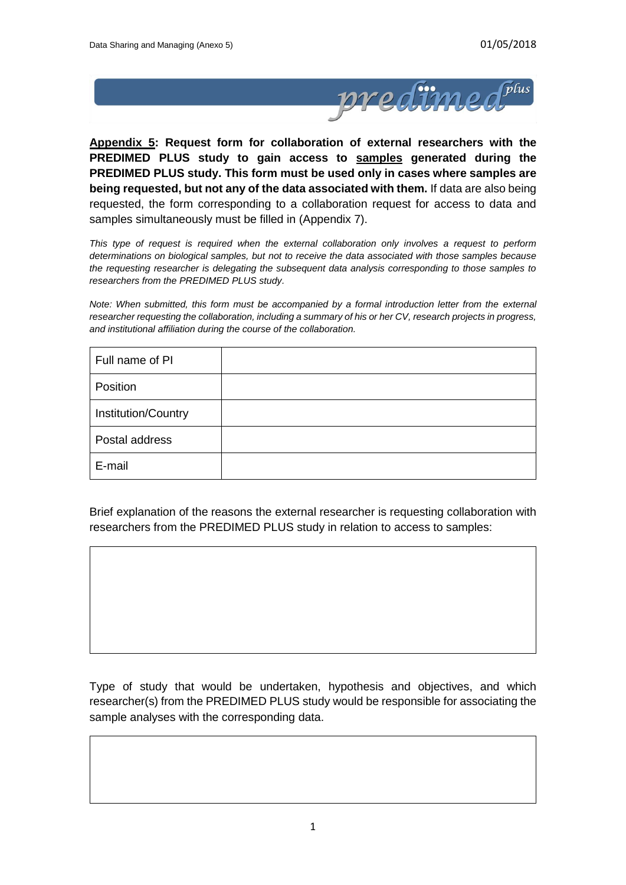

**Appendix 5: Request form for collaboration of external researchers with the PREDIMED PLUS study to gain access to samples generated during the PREDIMED PLUS study. This form must be used only in cases where samples are being requested, but not any of the data associated with them.** If data are also being requested, the form corresponding to a collaboration request for access to data and samples simultaneously must be filled in (Appendix 7).

*This type of request is required when the external collaboration only involves a request to perform determinations on biological samples, but not to receive the data associated with those samples because the requesting researcher is delegating the subsequent data analysis corresponding to those samples to researchers from the PREDIMED PLUS study.*

*Note: When submitted, this form must be accompanied by a formal introduction letter from the external researcher requesting the collaboration, including a summary of his or her CV, research projects in progress, and institutional affiliation during the course of the collaboration.* 

| Full name of PI     |  |
|---------------------|--|
| Position            |  |
| Institution/Country |  |
| Postal address      |  |
| E-mail              |  |

Brief explanation of the reasons the external researcher is requesting collaboration with researchers from the PREDIMED PLUS study in relation to access to samples:

Type of study that would be undertaken, hypothesis and objectives, and which researcher(s) from the PREDIMED PLUS study would be responsible for associating the sample analyses with the corresponding data.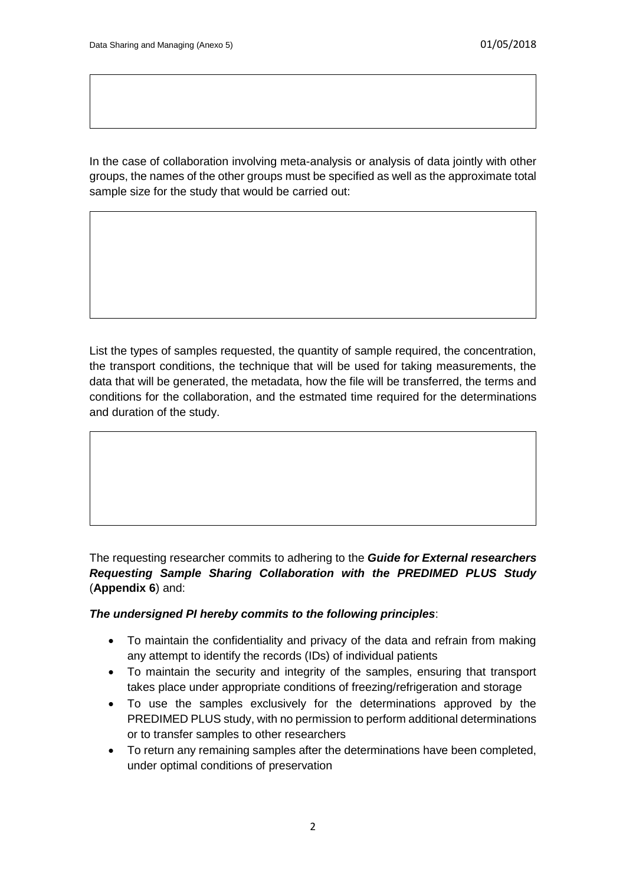In the case of collaboration involving meta-analysis or analysis of data jointly with other groups, the names of the other groups must be specified as well as the approximate total sample size for the study that would be carried out:

List the types of samples requested, the quantity of sample required, the concentration, the transport conditions, the technique that will be used for taking measurements, the data that will be generated, the metadata, how the file will be transferred, the terms and conditions for the collaboration, and the estmated time required for the determinations and duration of the study.

## The requesting researcher commits to adhering to the *Guide for External researchers Requesting Sample Sharing Collaboration with the PREDIMED PLUS Study* (**Appendix 6**) and:

## *The undersigned PI hereby commits to the following principles*:

- To maintain the confidentiality and privacy of the data and refrain from making any attempt to identify the records (IDs) of individual patients
- To maintain the security and integrity of the samples, ensuring that transport takes place under appropriate conditions of freezing/refrigeration and storage
- To use the samples exclusively for the determinations approved by the PREDIMED PLUS study, with no permission to perform additional determinations or to transfer samples to other researchers
- To return any remaining samples after the determinations have been completed, under optimal conditions of preservation